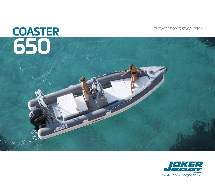# *THE MOST SOLD SINCE 1980's* **COASTER 650**

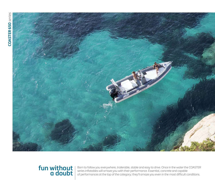

### **fun without a doubt**

Born to follow you everywhere, trailerable, stable and easy to drive. Once in the water the COASTER series inflatables will amaze you with their performance. Essential, concrete and capable of performances at the top of the category; they'll amaze you even in the most difficult conditions.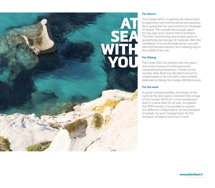

#### **For leisure**

The Coaster 650 is a spectacular leisure boat. Its legendary hull and functional and spacious deck guarantee fun and comfort for all people on board. The console has enough space for any type of on-board instrumentation. The stern and the bow give ample space to sunbathing and storage of materials. With the installation of a comfortable bimini, you will also find the best solution for a relaxing day in the middle of the sea.

#### **For fishing**

The Coster 650 has proved, over the years, one of the choices of professional and nonprofessional fishermen. Thanks to this success Joker Boat has decided to launch a model based on its hull with a deck entirely dedicated to fishing: the Coaster 650 Barracuda.

#### **For the work**

Its great manoeuvrability, the design of the hull and the deck space, transform the image of the Coaster 650 from a normal pleasure boat in a work boat for all uses. As regards the OPEN version, it is possible to request it in different configurations: for the transport of people, for port management, for the transport of objects and much more.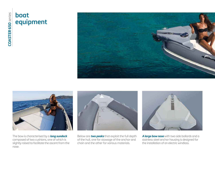## **boat equipment**





The bow is characterised by a *long sundeck*  composed of two cushions, one of which is slightly raised to facilitate the ascent from the nose.



Below are *two peaks* that exploit the full depth of the hull, one for stowage of the anchor and chain and the other for various materials.



*A large bow nose* with two side bollards and a stainless steel anchor housing is designed for the installation of an electric windlass.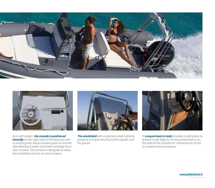



As in all Coaster, *the console is positioned laterally* on the right side of the boat but with a central guide, leaves ample space on the left side allowing a wider and easier passage from stern to bow. The console is designed to allow the installation of one or more screens.



*The windshield* with a stainless steel handrail protects and give security to the captain and his guests.



A *compartment in teak* provides a safe place to protect small objects. An easy inspection is on the side of the console for maintenance of the on-board instrumentation.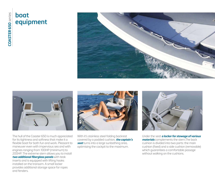# **boat equipment**







The hull of the Coaster 650 is much appreciated for its tightness and softness that make it a flexible boat for both fun and work. Pleasant to maneuver even with impervious sea and with engines ranging from 100HP (minimum) to 200HP. The extreme stern allows you to install *two additional fiberglass panels* with teak inserts and is equipped with lifting hooks installed on the transom. A small locker provides additional storage space for ropes and fenders.

With it's stainless steel folding backrest covered by a padded cushion, *the captain's seat* turns into a large sunbathing area, optimising the cockpit to the maximum.



Under the seat *a locker for stowage of various materials* complements the stern.The back cushion is divided into two parts: the main cushion (fixed) and a side cushion (removable) which guarantees a comfortable passage without walking on the cushions.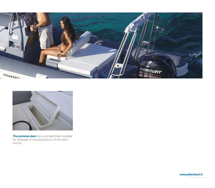



*The extreme stern* has a compartment suitable for stowage of mooring lines or of the stern anchor.

*www.jokerboat.it*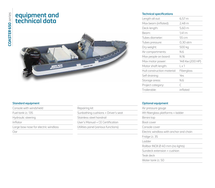### **equipment and technical data**



#### **Standard equipment**

- Console with windshield Repairing kit
- 
- 
- 
- Large bow nose for electric windlass Utilities panel (various functions)

Oar

Fuel tank Lt. 135 Fuel tank Lt. 135

Hydraulic steering entity of the Stainless steel handrail

Inflator User's Manual + CE Certification

#### **Technical specifications**

| 148 Kw (200 HP) |
|-----------------|
|                 |
|                 |
|                 |
|                 |
|                 |
|                 |
|                 |

#### **Optional equipment**

| Air pressure gauge                           |
|----------------------------------------------|
| Aft fiberglass platforms + ladder            |
| Bimini top                                   |
| Boat cover                                   |
| Console cover                                |
| Electric windlass with anchor and chain      |
| Fridge Lt. 35                                |
| l adder                                      |
| Rollbar INOX $\varnothing$ 40 mm (no lights) |
| Sundeck extension + cushion                  |
| Tenk deck                                    |
| Water tank I t. 50                           |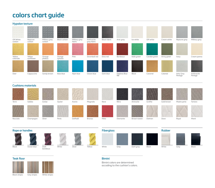### **colors chart guide**



#### **Cushions materials**





















Nocciola Champagne Silver Perla Daffodil Bronzo Mela Diamante Brown tweed Dolmen Dove

Royal Menir

**Rope or handles Fiberglass**











#### **Teak floor**



#### **Bimini**

Bimini colors are determined accoding to the cushion's colors.